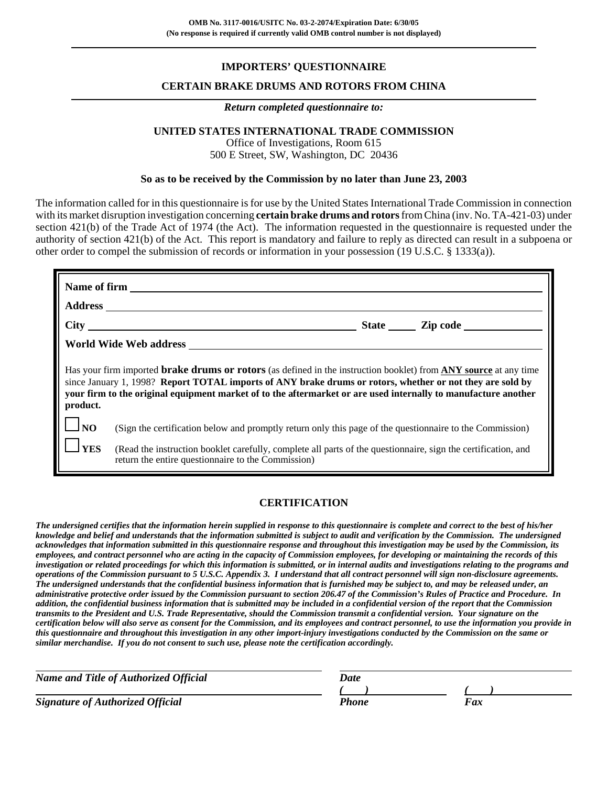# **IMPORTERS' QUESTIONNAIRE**

### **CERTAIN BRAKE DRUMS AND ROTORS FROM CHINA**

#### *Return completed questionnaire to:*

## **UNITED STATES INTERNATIONAL TRADE COMMISSION**

Office of Investigations, Room 615 500 E Street, SW, Washington, DC 20436

### **So as to be received by the Commission by no later than June 23, 2003**

The information called for in this questionnaire is for use by the United States International Trade Commission in connection with its market disruption investigation concerning **certain brake drums and rotors** from China (inv. No. TA-421-03) under section 421(b) of the Trade Act of 1974 (the Act). The information requested in the questionnaire is requested under the authority of section 421(b) of the Act. This report is mandatory and failure to reply as directed can result in a subpoena or other order to compel the submission of records or information in your possession (19 U.S.C. § 1333(a)).

|                                                                                                                                                                                                                                                                                                                                                                           | World Wide Web address New York and Service Services and Services of the Services of the Services of the Services of the Services of the Services of the Services of the Services of the Services of the Services of the Servi |  |  |  |  |  |  |
|---------------------------------------------------------------------------------------------------------------------------------------------------------------------------------------------------------------------------------------------------------------------------------------------------------------------------------------------------------------------------|--------------------------------------------------------------------------------------------------------------------------------------------------------------------------------------------------------------------------------|--|--|--|--|--|--|
| Has your firm imported <b>brake drums or rotors</b> (as defined in the instruction booklet) from <b>ANY</b> source at any time<br>since January 1, 1998? Report TOTAL imports of ANY brake drums or rotors, whether or not they are sold by<br>your firm to the original equipment market of to the aftermarket or are used internally to manufacture another<br>product. |                                                                                                                                                                                                                                |  |  |  |  |  |  |
| $\Box_{\rm NO}$                                                                                                                                                                                                                                                                                                                                                           | (Sign the certification below and promptly return only this page of the questionnaire to the Commission)                                                                                                                       |  |  |  |  |  |  |
| $\mathbf{\square}$ YES                                                                                                                                                                                                                                                                                                                                                    | (Read the instruction booklet carefully, complete all parts of the questionnaire, sign the certification, and<br>return the entire questionnaire to the Commission)                                                            |  |  |  |  |  |  |

## **CERTIFICATION**

*The undersigned certifies that the information herein supplied in response to this questionnaire is complete and correct to the best of his/her knowledge and belief and understands that the information submitted is subject to audit and verification by the Commission. The undersigned acknowledges that information submitted in this questionnaire response and throughout this investigation may be used by the Commission, its employees, and contract personnel who are acting in the capacity of Commission employees, for developing or maintaining the records of this investigation or related proceedings for which this information is submitted, or in internal audits and investigations relating to the programs and operations of the Commission pursuant to 5 U.S.C. Appendix 3. I understand that all contract personnel will sign non-disclosure agreements. The undersigned understands that the confidential business information that is furnished may be subject to, and may be released under, an administrative protective order issued by the Commission pursuant to section 206.47 of the Commission's Rules of Practice and Procedure. In addition, the confidential business information that is submitted may be included in a confidential version of the report that the Commission transmits to the President and U.S. Trade Representative, should the Commission transmit a confidential version. Your signature on the certification below will also serve as consent for the Commission, and its employees and contract personnel, to use the information you provide in this questionnaire and throughout this investigation in any other import-injury investigations conducted by the Commission on the same or similar merchandise. If you do not consent to such use, please note the certification accordingly.*

| <b>Name and Title of Authorized Official</b> | Date  |     |
|----------------------------------------------|-------|-----|
|                                              |       |     |
| <b>Signature of Authorized Official</b>      | Phone | Fax |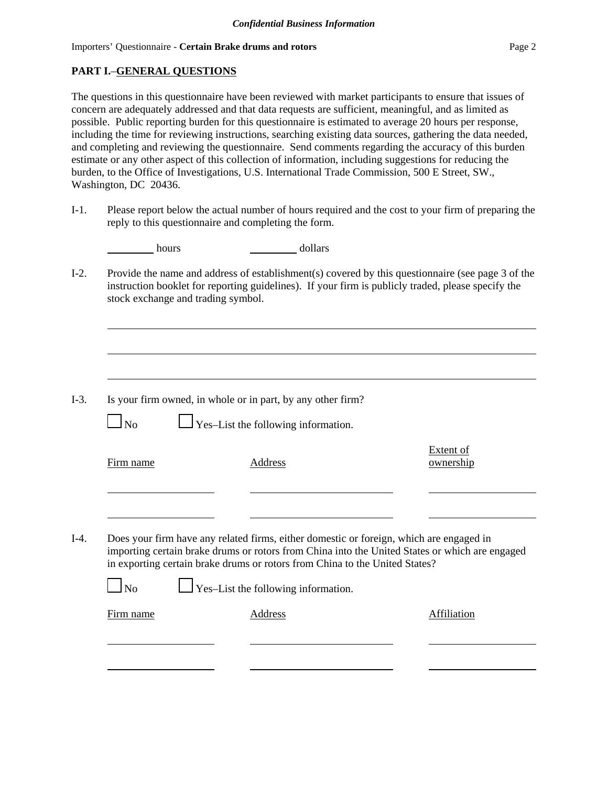# **PART I.**–**GENERAL QUESTIONS**

The questions in this questionnaire have been reviewed with market participants to ensure that issues of concern are adequately addressed and that data requests are sufficient, meaningful, and as limited as possible. Public reporting burden for this questionnaire is estimated to average 20 hours per response, including the time for reviewing instructions, searching existing data sources, gathering the data needed, and completing and reviewing the questionnaire. Send comments regarding the accuracy of this burden estimate or any other aspect of this collection of information, including suggestions for reducing the burden, to the Office of Investigations, U.S. International Trade Commission, 500 E Street, SW., Washington, DC 20436.

I-1. Please report below the actual number of hours required and the cost to your firm of preparing the reply to this questionnaire and completing the form.

| hours | dollars |
|-------|---------|
|       |         |

I-2. Provide the name and address of establishment(s) covered by this questionnaire (see page 3 of the instruction booklet for reporting guidelines). If your firm is publicly traded, please specify the stock exchange and trading symbol.

| $I-3$ . | Is your firm owned, in whole or in part, by any other firm? |  |  |  |  |  |
|---------|-------------------------------------------------------------|--|--|--|--|--|
|---------|-------------------------------------------------------------|--|--|--|--|--|

 $\Box$  No  $\Box$  Yes–List the following information.

|        | Firm name | Address                                                                                 | Extent of<br>ownership                                                                         |
|--------|-----------|-----------------------------------------------------------------------------------------|------------------------------------------------------------------------------------------------|
|        |           |                                                                                         |                                                                                                |
| $I-4.$ |           | Does your firm have any related firms, either domestic or foreign, which are engaged in | importing certain brake drums or rotors from China into the United States or which are engaged |
|        |           | in exporting certain brake drums or rotors from China to the United States?             |                                                                                                |

 $\Box$ No  $\Box$  Yes–List the following information.

Firm name Address Affiliation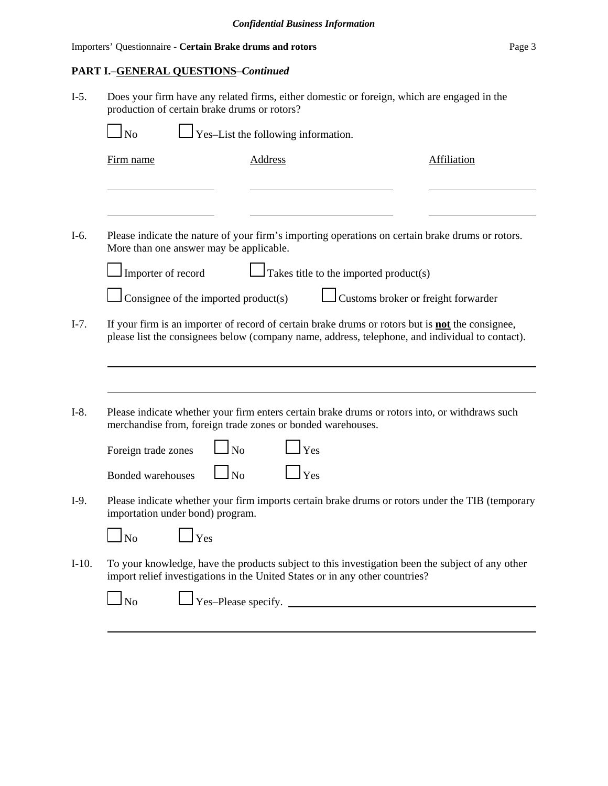# **PART I.**–**GENERAL QUESTIONS**–*Continued*

| $I-5.$  | Does your firm have any related firms, either domestic or foreign, which are engaged in the<br>production of certain brake drums or rotors? |                                                                                                                                                                                                            |                    |  |  |  |  |
|---------|---------------------------------------------------------------------------------------------------------------------------------------------|------------------------------------------------------------------------------------------------------------------------------------------------------------------------------------------------------------|--------------------|--|--|--|--|
|         | N <sub>o</sub>                                                                                                                              | Yes-List the following information.                                                                                                                                                                        |                    |  |  |  |  |
|         | Firm name                                                                                                                                   | <b>Address</b>                                                                                                                                                                                             | <b>Affiliation</b> |  |  |  |  |
|         |                                                                                                                                             |                                                                                                                                                                                                            |                    |  |  |  |  |
| I-6.    | More than one answer may be applicable.                                                                                                     | Please indicate the nature of your firm's importing operations on certain brake drums or rotors.                                                                                                           |                    |  |  |  |  |
|         | Importer of record                                                                                                                          | Takes title to the imported product(s)                                                                                                                                                                     |                    |  |  |  |  |
|         | Customs broker or freight forwarder<br>Consignee of the imported product(s)                                                                 |                                                                                                                                                                                                            |                    |  |  |  |  |
| $I-7.$  |                                                                                                                                             | If your firm is an importer of record of certain brake drums or rotors but is <b>not</b> the consignee,<br>please list the consignees below (company name, address, telephone, and individual to contact). |                    |  |  |  |  |
|         |                                                                                                                                             |                                                                                                                                                                                                            |                    |  |  |  |  |
| $I-8.$  | merchandise from, foreign trade zones or bonded warehouses.                                                                                 | Please indicate whether your firm enters certain brake drums or rotors into, or withdraws such                                                                                                             |                    |  |  |  |  |
|         | N <sub>o</sub><br>Foreign trade zones                                                                                                       | Yes                                                                                                                                                                                                        |                    |  |  |  |  |
|         | No<br><b>Bonded warehouses</b>                                                                                                              | Yes                                                                                                                                                                                                        |                    |  |  |  |  |
| $I-9.$  | importation under bond) program.                                                                                                            | Please indicate whether your firm imports certain brake drums or rotors under the TIB (temporary                                                                                                           |                    |  |  |  |  |
|         | N <sub>0</sub><br><b>Yes</b>                                                                                                                |                                                                                                                                                                                                            |                    |  |  |  |  |
| $I-10.$ |                                                                                                                                             | To your knowledge, have the products subject to this investigation been the subject of any other<br>import relief investigations in the United States or in any other countries?                           |                    |  |  |  |  |
|         | $\log$                                                                                                                                      | $\gamma$ es-Please specify.                                                                                                                                                                                |                    |  |  |  |  |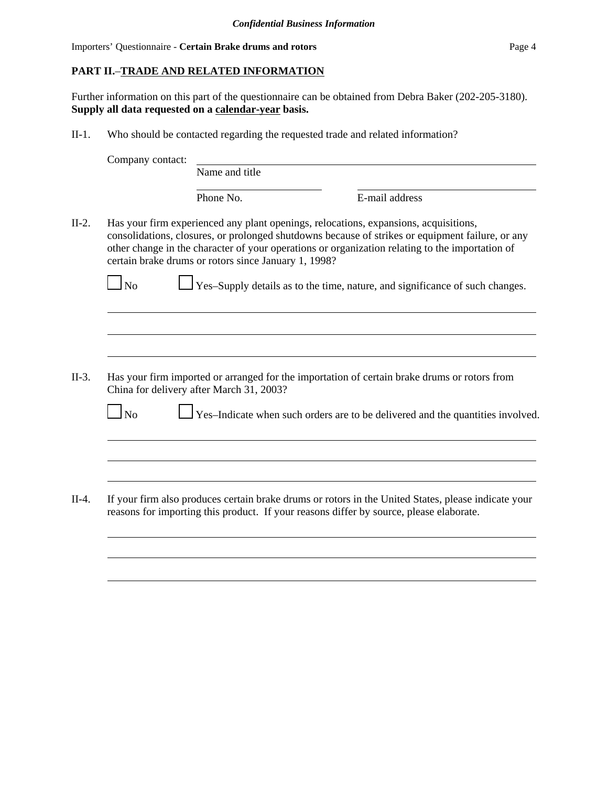# **PART II.**–**TRADE AND RELATED INFORMATION**

Further information on this part of the questionnaire can be obtained from Debra Baker (202-205-3180). **Supply all data requested on a calendar-year basis.**

II-1. Who should be contacted regarding the requested trade and related information?

| Name and title<br>Phone No.<br>Has your firm experienced any plant openings, relocations, expansions, acquisitions,<br>consolidations, closures, or prolonged shutdowns because of strikes or equipment failure, or any<br>other change in the character of your operations or organization relating to the importation of<br>certain brake drums or rotors since January 1, 1998?<br>Yes-Supply details as to the time, nature, and significance of such changes.<br>Has your firm imported or arranged for the importation of certain brake drums or rotors from<br>China for delivery after March 31, 2003? | E-mail address |                                                                                                                                                                                                |
|----------------------------------------------------------------------------------------------------------------------------------------------------------------------------------------------------------------------------------------------------------------------------------------------------------------------------------------------------------------------------------------------------------------------------------------------------------------------------------------------------------------------------------------------------------------------------------------------------------------|----------------|------------------------------------------------------------------------------------------------------------------------------------------------------------------------------------------------|
|                                                                                                                                                                                                                                                                                                                                                                                                                                                                                                                                                                                                                |                |                                                                                                                                                                                                |
|                                                                                                                                                                                                                                                                                                                                                                                                                                                                                                                                                                                                                |                |                                                                                                                                                                                                |
|                                                                                                                                                                                                                                                                                                                                                                                                                                                                                                                                                                                                                |                |                                                                                                                                                                                                |
|                                                                                                                                                                                                                                                                                                                                                                                                                                                                                                                                                                                                                |                |                                                                                                                                                                                                |
|                                                                                                                                                                                                                                                                                                                                                                                                                                                                                                                                                                                                                |                |                                                                                                                                                                                                |
|                                                                                                                                                                                                                                                                                                                                                                                                                                                                                                                                                                                                                |                |                                                                                                                                                                                                |
|                                                                                                                                                                                                                                                                                                                                                                                                                                                                                                                                                                                                                |                |                                                                                                                                                                                                |
| Yes-Indicate when such orders are to be delivered and the quantities involved.                                                                                                                                                                                                                                                                                                                                                                                                                                                                                                                                 |                |                                                                                                                                                                                                |
|                                                                                                                                                                                                                                                                                                                                                                                                                                                                                                                                                                                                                |                |                                                                                                                                                                                                |
|                                                                                                                                                                                                                                                                                                                                                                                                                                                                                                                                                                                                                |                |                                                                                                                                                                                                |
|                                                                                                                                                                                                                                                                                                                                                                                                                                                                                                                                                                                                                |                |                                                                                                                                                                                                |
|                                                                                                                                                                                                                                                                                                                                                                                                                                                                                                                                                                                                                |                |                                                                                                                                                                                                |
|                                                                                                                                                                                                                                                                                                                                                                                                                                                                                                                                                                                                                |                | If your firm also produces certain brake drums or rotors in the United States, please indicate your<br>reasons for importing this product. If your reasons differ by source, please elaborate. |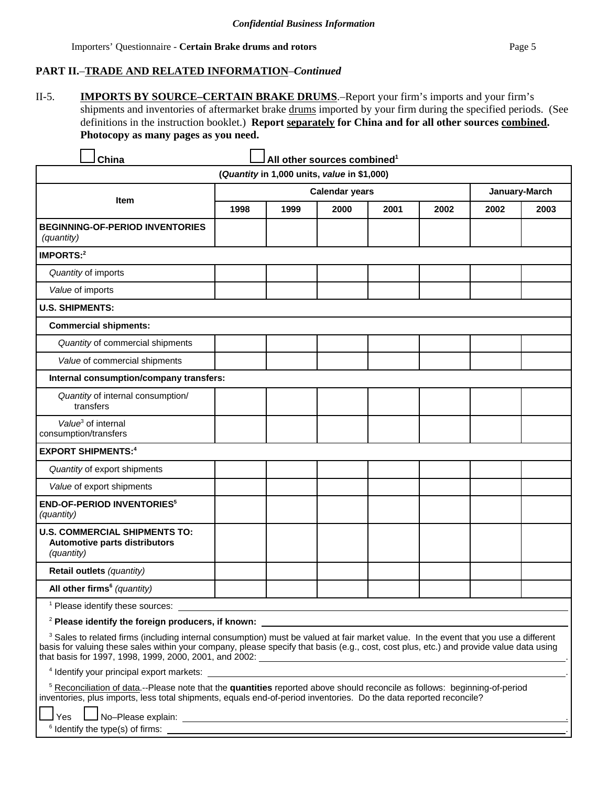# **PART II.**–**TRADE AND RELATED INFORMATION**–*Continued*

II-5. **IMPORTS BY SOURCE–CERTAIN BRAKE DRUMS**.–Report your firm's imports and your firm's shipments and inventories of aftermarket brake drums imported by your firm during the specified periods. (See definitions in the instruction booklet.) **Report separately for China and for all other sources combined. Photocopy as many pages as you need.**

| China                                                                                                                                                                                                                                                                                                                                                                                                        |      |                                             | All other sources combined <sup>1</sup> |      |      |      |               |
|--------------------------------------------------------------------------------------------------------------------------------------------------------------------------------------------------------------------------------------------------------------------------------------------------------------------------------------------------------------------------------------------------------------|------|---------------------------------------------|-----------------------------------------|------|------|------|---------------|
|                                                                                                                                                                                                                                                                                                                                                                                                              |      | (Quantity in 1,000 units, value in \$1,000) |                                         |      |      |      |               |
|                                                                                                                                                                                                                                                                                                                                                                                                              |      |                                             | <b>Calendar years</b>                   |      |      |      | January-March |
| Item                                                                                                                                                                                                                                                                                                                                                                                                         | 1998 | 1999                                        | 2000                                    | 2001 | 2002 | 2002 | 2003          |
| <b>BEGINNING-OF-PERIOD INVENTORIES</b><br>(quantity)                                                                                                                                                                                                                                                                                                                                                         |      |                                             |                                         |      |      |      |               |
| IMPORTS: <sup>2</sup>                                                                                                                                                                                                                                                                                                                                                                                        |      |                                             |                                         |      |      |      |               |
| Quantity of imports                                                                                                                                                                                                                                                                                                                                                                                          |      |                                             |                                         |      |      |      |               |
| Value of imports                                                                                                                                                                                                                                                                                                                                                                                             |      |                                             |                                         |      |      |      |               |
| <b>U.S. SHIPMENTS:</b>                                                                                                                                                                                                                                                                                                                                                                                       |      |                                             |                                         |      |      |      |               |
| <b>Commercial shipments:</b>                                                                                                                                                                                                                                                                                                                                                                                 |      |                                             |                                         |      |      |      |               |
| Quantity of commercial shipments                                                                                                                                                                                                                                                                                                                                                                             |      |                                             |                                         |      |      |      |               |
| Value of commercial shipments                                                                                                                                                                                                                                                                                                                                                                                |      |                                             |                                         |      |      |      |               |
| Internal consumption/company transfers:                                                                                                                                                                                                                                                                                                                                                                      |      |                                             |                                         |      |      |      |               |
| Quantity of internal consumption/<br>transfers                                                                                                                                                                                                                                                                                                                                                               |      |                                             |                                         |      |      |      |               |
| Value <sup>3</sup> of internal<br>consumption/transfers                                                                                                                                                                                                                                                                                                                                                      |      |                                             |                                         |      |      |      |               |
| <b>EXPORT SHIPMENTS:4</b>                                                                                                                                                                                                                                                                                                                                                                                    |      |                                             |                                         |      |      |      |               |
| Quantity of export shipments                                                                                                                                                                                                                                                                                                                                                                                 |      |                                             |                                         |      |      |      |               |
| Value of export shipments                                                                                                                                                                                                                                                                                                                                                                                    |      |                                             |                                         |      |      |      |               |
| <b>END-OF-PERIOD INVENTORIES<sup>5</sup></b><br>(quantity)                                                                                                                                                                                                                                                                                                                                                   |      |                                             |                                         |      |      |      |               |
| <b>U.S. COMMERCIAL SHIPMENTS TO:</b><br><b>Automotive parts distributors</b><br>(quantity)                                                                                                                                                                                                                                                                                                                   |      |                                             |                                         |      |      |      |               |
| Retail outlets (quantity)                                                                                                                                                                                                                                                                                                                                                                                    |      |                                             |                                         |      |      |      |               |
| All other firms <sup>6</sup> (quantity)                                                                                                                                                                                                                                                                                                                                                                      |      |                                             |                                         |      |      |      |               |
| <sup>1</sup> Please identify these sources:                                                                                                                                                                                                                                                                                                                                                                  |      |                                             |                                         |      |      |      |               |
| <sup>2</sup> Please identify the foreign producers, if known:                                                                                                                                                                                                                                                                                                                                                |      |                                             |                                         |      |      |      |               |
| <sup>3</sup> Sales to related firms (including internal consumption) must be valued at fair market value. In the event that you use a different<br>basis for valuing these sales within your company, please specify that basis (e.g., cost, cost plus, etc.) and provide value data using<br>that basis for 1997, 1998, 1999, 2000, 2001, and 2002: All the state of the state of the state of the state of |      |                                             |                                         |      |      |      |               |
| <sup>4</sup> Identify your principal export markets:                                                                                                                                                                                                                                                                                                                                                         |      |                                             |                                         |      |      |      |               |
| <sup>5</sup> Reconciliation of data.--Please note that the quantities reported above should reconcile as follows: beginning-of-period<br>inventories, plus imports, less total shipments, equals end-of-period inventories. Do the data reported reconcile?                                                                                                                                                  |      |                                             |                                         |      |      |      |               |

Yes No–Please explain: .

6 Identify the type(s) of firms: .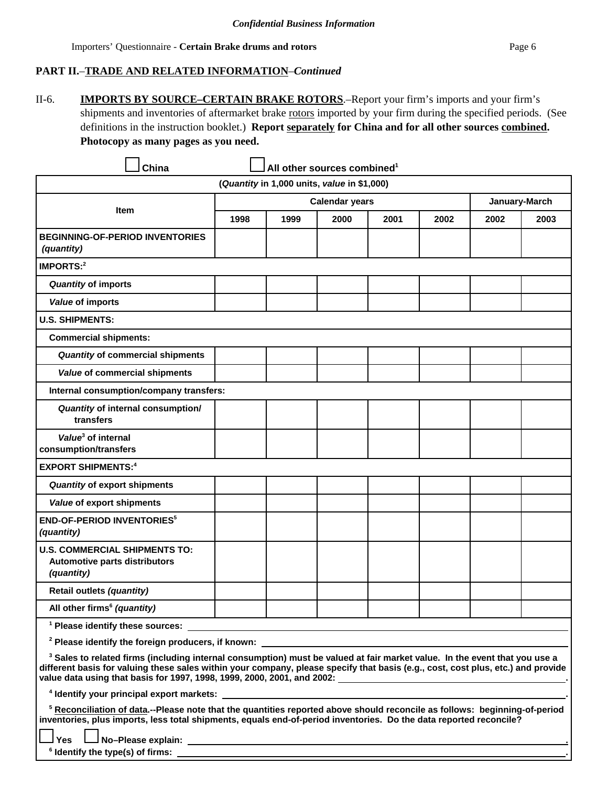# **PART II.**–**TRADE AND RELATED INFORMATION**–*Continued*

II-6. **IMPORTS BY SOURCE–CERTAIN BRAKE ROTORS**.–Report your firm's imports and your firm's shipments and inventories of aftermarket brake rotors imported by your firm during the specified periods. (See definitions in the instruction booklet.) **Report separately for China and for all other sources combined. Photocopy as many pages as you need.**

| China                                                                                                                                                                                                                                                                                                                                                                                      |      |                                             | All other sources combined <sup>1</sup> |      |      |      |               |
|--------------------------------------------------------------------------------------------------------------------------------------------------------------------------------------------------------------------------------------------------------------------------------------------------------------------------------------------------------------------------------------------|------|---------------------------------------------|-----------------------------------------|------|------|------|---------------|
|                                                                                                                                                                                                                                                                                                                                                                                            |      | (Quantity in 1,000 units, value in \$1,000) |                                         |      |      |      |               |
|                                                                                                                                                                                                                                                                                                                                                                                            |      |                                             | <b>Calendar years</b>                   |      |      |      | January-March |
| <b>Item</b>                                                                                                                                                                                                                                                                                                                                                                                | 1998 | 1999                                        | 2000                                    | 2001 | 2002 | 2002 | 2003          |
| <b>BEGINNING-OF-PERIOD INVENTORIES</b><br><i>(quantity)</i>                                                                                                                                                                                                                                                                                                                                |      |                                             |                                         |      |      |      |               |
| IMPORTS: <sup>2</sup>                                                                                                                                                                                                                                                                                                                                                                      |      |                                             |                                         |      |      |      |               |
| <b>Quantity of imports</b>                                                                                                                                                                                                                                                                                                                                                                 |      |                                             |                                         |      |      |      |               |
| Value of imports                                                                                                                                                                                                                                                                                                                                                                           |      |                                             |                                         |      |      |      |               |
| <b>U.S. SHIPMENTS:</b>                                                                                                                                                                                                                                                                                                                                                                     |      |                                             |                                         |      |      |      |               |
| <b>Commercial shipments:</b>                                                                                                                                                                                                                                                                                                                                                               |      |                                             |                                         |      |      |      |               |
| Quantity of commercial shipments                                                                                                                                                                                                                                                                                                                                                           |      |                                             |                                         |      |      |      |               |
| Value of commercial shipments                                                                                                                                                                                                                                                                                                                                                              |      |                                             |                                         |      |      |      |               |
| Internal consumption/company transfers:                                                                                                                                                                                                                                                                                                                                                    |      |                                             |                                         |      |      |      |               |
| Quantity of internal consumption/<br>transfers                                                                                                                                                                                                                                                                                                                                             |      |                                             |                                         |      |      |      |               |
| Value <sup>3</sup> of internal<br>consumption/transfers                                                                                                                                                                                                                                                                                                                                    |      |                                             |                                         |      |      |      |               |
| <b>EXPORT SHIPMENTS:4</b>                                                                                                                                                                                                                                                                                                                                                                  |      |                                             |                                         |      |      |      |               |
| Quantity of export shipments                                                                                                                                                                                                                                                                                                                                                               |      |                                             |                                         |      |      |      |               |
| Value of export shipments                                                                                                                                                                                                                                                                                                                                                                  |      |                                             |                                         |      |      |      |               |
| <b>END-OF-PERIOD INVENTORIES<sup>5</sup></b><br>(quantity)                                                                                                                                                                                                                                                                                                                                 |      |                                             |                                         |      |      |      |               |
| <b>U.S. COMMERCIAL SHIPMENTS TO:</b><br>Automotive parts distributors<br>(quantity)                                                                                                                                                                                                                                                                                                        |      |                                             |                                         |      |      |      |               |
| Retail outlets (quantity)                                                                                                                                                                                                                                                                                                                                                                  |      |                                             |                                         |      |      |      |               |
| All other firms <sup>6</sup> (quantity)                                                                                                                                                                                                                                                                                                                                                    |      |                                             |                                         |      |      |      |               |
| <sup>1</sup> Please identify these sources:                                                                                                                                                                                                                                                                                                                                                |      |                                             |                                         |      |      |      |               |
| <sup>2</sup> Please identify the foreign producers, if known:                                                                                                                                                                                                                                                                                                                              |      |                                             |                                         |      |      |      |               |
| <sup>3</sup> Sales to related firms (including internal consumption) must be valued at fair market value. In the event that you use a<br>different basis for valuing these sales within your company, please specify that basis (e.g., cost, cost plus, etc.) and provide<br>value data using that basis for 1997, 1998, 1999, 2000, 2001, and 2002: [Croce Management Content of the Unit |      |                                             |                                         |      |      |      |               |
|                                                                                                                                                                                                                                                                                                                                                                                            |      |                                             |                                         |      |      |      |               |
| <sup>5</sup> Reconciliation of data.--Please note that the quantities reported above should reconcile as follows: beginning-of-period<br>inventories, plus imports, less total shipments, equals end-of-period inventories. Do the data reported reconcile?<br>Yes<br>$\delta$ identify the type(s) of firms: $\delta$                                                                     |      |                                             |                                         |      |      |      |               |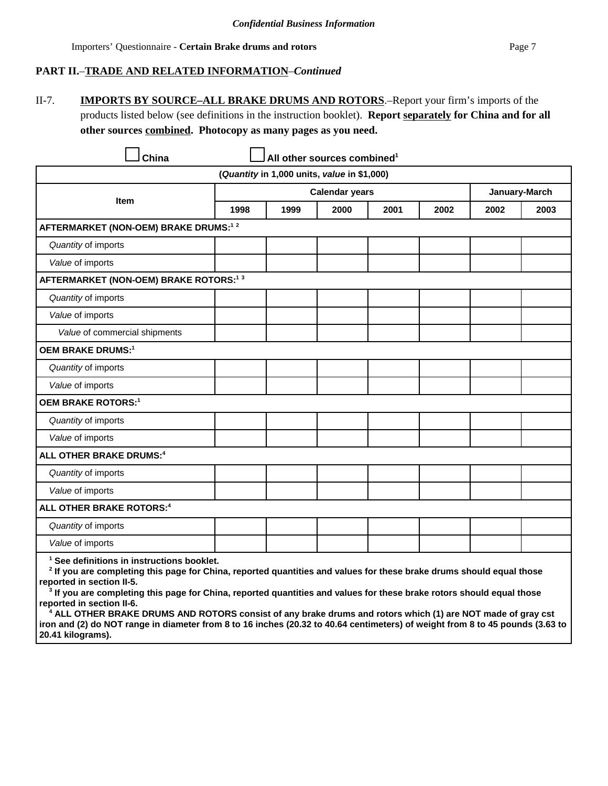### **PART II.**–**TRADE AND RELATED INFORMATION**–*Continued*

II-7. **IMPORTS BY SOURCE–ALL BRAKE DRUMS AND ROTORS**.–Report your firm's imports of the products listed below (see definitions in the instruction booklet). **Report separately for China and for all other sources combined. Photocopy as many pages as you need.**

|                                                   |      | (Quantity in 1,000 units, value in \$1,000) |                       |      |      |      |               |
|---------------------------------------------------|------|---------------------------------------------|-----------------------|------|------|------|---------------|
|                                                   |      |                                             | <b>Calendar years</b> |      |      |      | January-March |
| <b>Item</b>                                       | 1998 | 1999                                        | 2000                  | 2001 | 2002 | 2002 | 2003          |
| AFTERMARKET (NON-OEM) BRAKE DRUMS: <sup>12</sup>  |      |                                             |                       |      |      |      |               |
| Quantity of imports                               |      |                                             |                       |      |      |      |               |
| Value of imports                                  |      |                                             |                       |      |      |      |               |
| AFTERMARKET (NON-OEM) BRAKE ROTORS: <sup>13</sup> |      |                                             |                       |      |      |      |               |
| Quantity of imports                               |      |                                             |                       |      |      |      |               |
| Value of imports                                  |      |                                             |                       |      |      |      |               |
| Value of commercial shipments                     |      |                                             |                       |      |      |      |               |
| <b>OEM BRAKE DRUMS:1</b>                          |      |                                             |                       |      |      |      |               |
| Quantity of imports                               |      |                                             |                       |      |      |      |               |
| Value of imports                                  |      |                                             |                       |      |      |      |               |
| <b>OEM BRAKE ROTORS:1</b>                         |      |                                             |                       |      |      |      |               |
| Quantity of imports                               |      |                                             |                       |      |      |      |               |
| Value of imports                                  |      |                                             |                       |      |      |      |               |
| <b>ALL OTHER BRAKE DRUMS:4</b>                    |      |                                             |                       |      |      |      |               |
| Quantity of imports                               |      |                                             |                       |      |      |      |               |
| Value of imports                                  |      |                                             |                       |      |      |      |               |
| ALL OTHER BRAKE ROTORS: <sup>4</sup>              |      |                                             |                       |      |      |      |               |
| Quantity of imports                               |      |                                             |                       |      |      |      |               |
| Value of imports                                  |      |                                             |                       |      |      |      |               |

reported in section II-5.<br><sup>3</sup> If you are completing this page for China, reported quantities and values for these brake rotors should equal those **reported in section II-6. 4**

 **ALL OTHER BRAKE DRUMS AND ROTORS consist of any brake drums and rotors which (1) are NOT made of gray cst iron and (2) do NOT range in diameter from 8 to 16 inches (20.32 to 40.64 centimeters) of weight from 8 to 45 pounds (3.63 to 20.41 kilograms).**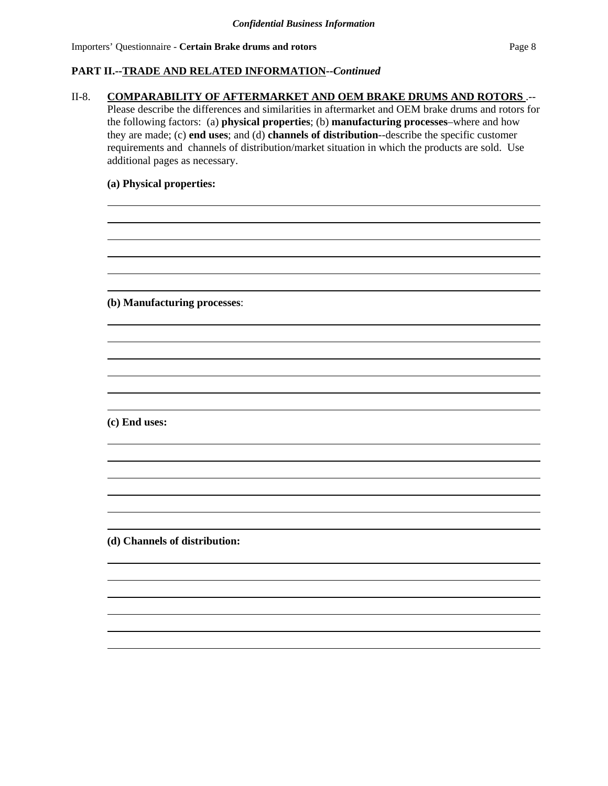## **PART II.--TRADE AND RELATED INFORMATION--***Continued*

### II-8. **COMPARABILITY OF AFTERMARKET AND OEM BRAKE DRUMS AND ROTORS** .--

Please describe the differences and similarities in aftermarket and OEM brake drums and rotors for the following factors: (a) **physical properties**; (b) **manufacturing processes**–where and how they are made; (c) **end uses**; and (d) **channels of distribution**--describe the specific customer requirements and channels of distribution/market situation in which the products are sold. Use additional pages as necessary.

> $\overline{a}$  $\overline{a}$

> $\overline{a}$  $\overline{a}$

### **(a) Physical properties:**

**(b) Manufacturing processes**:

**(c) End uses:**

**(d) Channels of distribution:**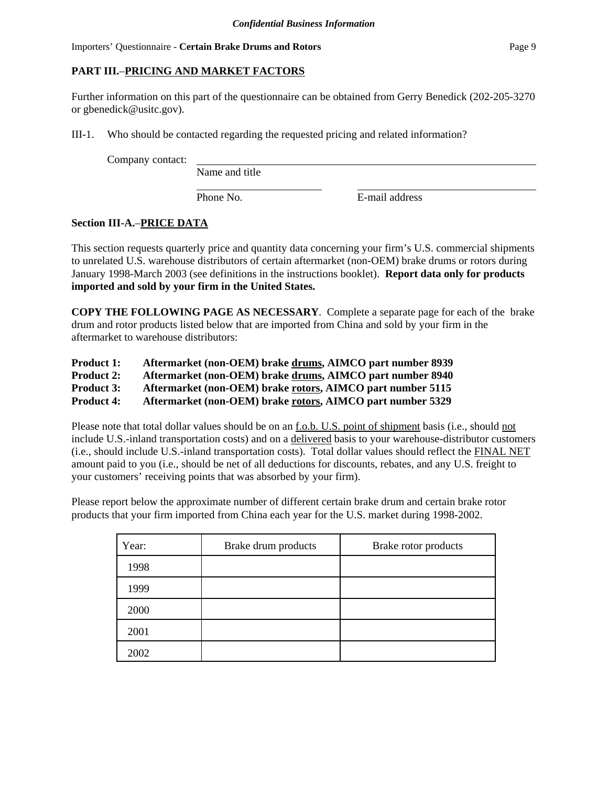# **PART III.**–**PRICING AND MARKET FACTORS**

Further information on this part of the questionnaire can be obtained from Gerry Benedick (202-205-3270 or gbenedick@usitc.gov).

III-1. Who should be contacted regarding the requested pricing and related information?

Company contact:

Name and title

Phone No. **E**-mail address

# **Section III-A.**–**PRICE DATA**

This section requests quarterly price and quantity data concerning your firm's U.S. commercial shipments to unrelated U.S. warehouse distributors of certain aftermarket (non-OEM) brake drums or rotors during January 1998-March 2003 (see definitions in the instructions booklet). **Report data only for products imported and sold by your firm in the United States.**

**COPY THE FOLLOWING PAGE AS NECESSARY**. Complete a separate page for each of the brake drum and rotor products listed below that are imported from China and sold by your firm in the aftermarket to warehouse distributors:

| <b>Product 1:</b> |  | Aftermarket (non-OEM) brake drums, AIMCO part number 8939 |  |
|-------------------|--|-----------------------------------------------------------|--|
|-------------------|--|-----------------------------------------------------------|--|

**Product 2: Aftermarket (non-OEM) brake drums, AIMCO part number 8940**

**Product 3: Aftermarket (non-OEM) brake rotors, AIMCO part number 5115**

**Product 4: Aftermarket (non-OEM) brake rotors, AIMCO part number 5329**

Please note that total dollar values should be on an f.o.b. U.S. point of shipment basis (i.e., should not include U.S.-inland transportation costs) and on a delivered basis to your warehouse-distributor customers (i.e., should include U.S.-inland transportation costs). Total dollar values should reflect the FINAL NET amount paid to you (i.e., should be net of all deductions for discounts, rebates, and any U.S. freight to your customers' receiving points that was absorbed by your firm).

Please report below the approximate number of different certain brake drum and certain brake rotor products that your firm imported from China each year for the U.S. market during 1998-2002.

| Year: | Brake drum products | Brake rotor products |
|-------|---------------------|----------------------|
| 1998  |                     |                      |
| 1999  |                     |                      |
| 2000  |                     |                      |
| 2001  |                     |                      |
| 2002  |                     |                      |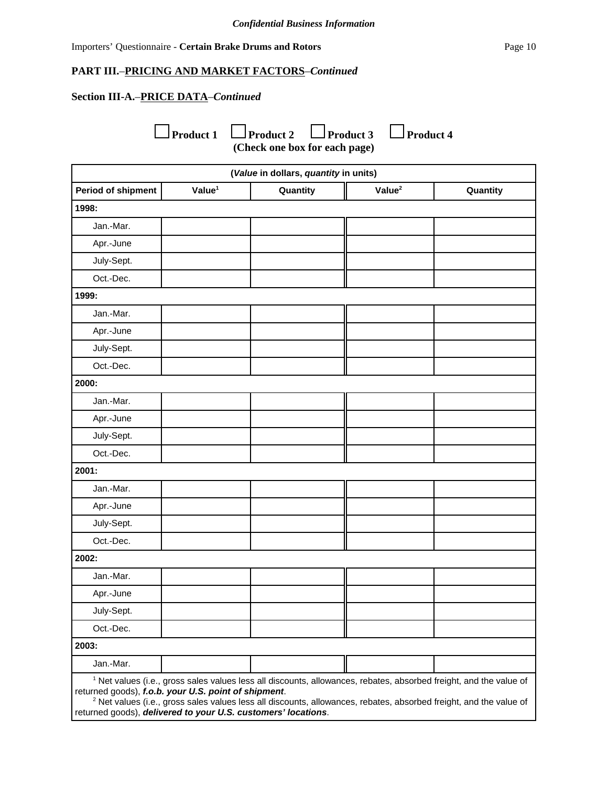### **PART III.**–**PRICING AND MARKET FACTORS**–*Continued*

# **Section III-A.**–**PRICE DATA**–*Continued*

**Product 1** Product 2 Product 3 Product 4 **(Check one box for each page)**

|                                                                                                                                                                                                                                                                                                                                                                                         |                    | (Value in dollars, quantity in units) |                    |          |
|-----------------------------------------------------------------------------------------------------------------------------------------------------------------------------------------------------------------------------------------------------------------------------------------------------------------------------------------------------------------------------------------|--------------------|---------------------------------------|--------------------|----------|
| <b>Period of shipment</b>                                                                                                                                                                                                                                                                                                                                                               | Value <sup>1</sup> | Quantity                              | Value <sup>2</sup> | Quantity |
| 1998:                                                                                                                                                                                                                                                                                                                                                                                   |                    |                                       |                    |          |
| Jan.-Mar.                                                                                                                                                                                                                                                                                                                                                                               |                    |                                       |                    |          |
| Apr.-June                                                                                                                                                                                                                                                                                                                                                                               |                    |                                       |                    |          |
| July-Sept.                                                                                                                                                                                                                                                                                                                                                                              |                    |                                       |                    |          |
| Oct.-Dec.                                                                                                                                                                                                                                                                                                                                                                               |                    |                                       |                    |          |
| 1999:                                                                                                                                                                                                                                                                                                                                                                                   |                    |                                       |                    |          |
| Jan.-Mar.                                                                                                                                                                                                                                                                                                                                                                               |                    |                                       |                    |          |
| Apr.-June                                                                                                                                                                                                                                                                                                                                                                               |                    |                                       |                    |          |
| July-Sept.                                                                                                                                                                                                                                                                                                                                                                              |                    |                                       |                    |          |
| Oct.-Dec.                                                                                                                                                                                                                                                                                                                                                                               |                    |                                       |                    |          |
| 2000:                                                                                                                                                                                                                                                                                                                                                                                   |                    |                                       |                    |          |
| Jan.-Mar.                                                                                                                                                                                                                                                                                                                                                                               |                    |                                       |                    |          |
| Apr.-June                                                                                                                                                                                                                                                                                                                                                                               |                    |                                       |                    |          |
| July-Sept.                                                                                                                                                                                                                                                                                                                                                                              |                    |                                       |                    |          |
| Oct.-Dec.                                                                                                                                                                                                                                                                                                                                                                               |                    |                                       |                    |          |
| 2001:                                                                                                                                                                                                                                                                                                                                                                                   |                    |                                       |                    |          |
| Jan.-Mar.                                                                                                                                                                                                                                                                                                                                                                               |                    |                                       |                    |          |
| Apr.-June                                                                                                                                                                                                                                                                                                                                                                               |                    |                                       |                    |          |
| July-Sept.                                                                                                                                                                                                                                                                                                                                                                              |                    |                                       |                    |          |
| Oct.-Dec.                                                                                                                                                                                                                                                                                                                                                                               |                    |                                       |                    |          |
| 2002:                                                                                                                                                                                                                                                                                                                                                                                   |                    |                                       |                    |          |
| Jan.-Mar.                                                                                                                                                                                                                                                                                                                                                                               |                    |                                       |                    |          |
| Apr.-June                                                                                                                                                                                                                                                                                                                                                                               |                    |                                       |                    |          |
| July-Sept.                                                                                                                                                                                                                                                                                                                                                                              |                    |                                       |                    |          |
| Oct.-Dec.                                                                                                                                                                                                                                                                                                                                                                               |                    |                                       |                    |          |
| 2003:                                                                                                                                                                                                                                                                                                                                                                                   |                    |                                       |                    |          |
| Jan.-Mar.                                                                                                                                                                                                                                                                                                                                                                               |                    |                                       |                    |          |
| <sup>1</sup> Net values (i.e., gross sales values less all discounts, allowances, rebates, absorbed freight, and the value of<br>returned goods), f.o.b. your U.S. point of shipment.<br><sup>2</sup> Net values (i.e., gross sales values less all discounts, allowances, rebates, absorbed freight, and the value of<br>returned goods), delivered to your U.S. customers' locations. |                    |                                       |                    |          |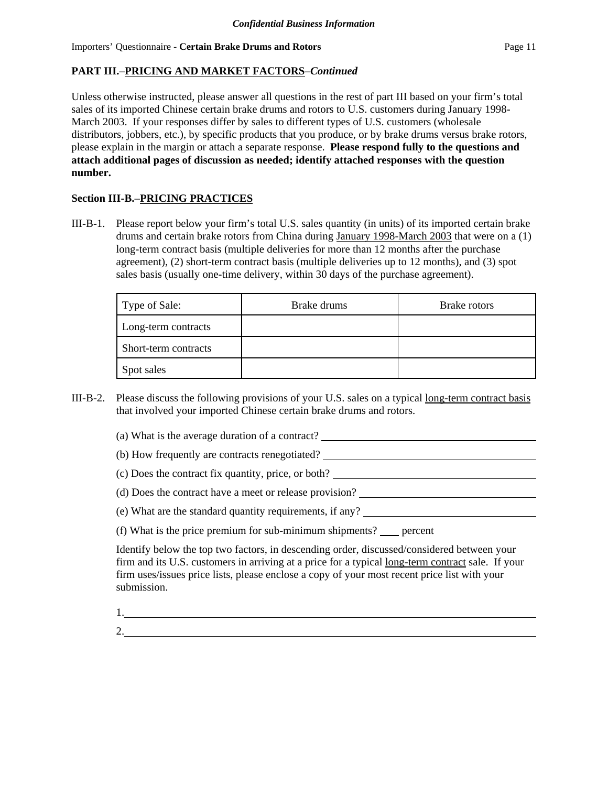Unless otherwise instructed, please answer all questions in the rest of part III based on your firm's total sales of its imported Chinese certain brake drums and rotors to U.S. customers during January 1998- March 2003. If your responses differ by sales to different types of U.S. customers (wholesale distributors, jobbers, etc.), by specific products that you produce, or by brake drums versus brake rotors, please explain in the margin or attach a separate response. **Please respond fully to the questions and attach additional pages of discussion as needed; identify attached responses with the question number.**

# **Section III-B.**–**PRICING PRACTICES**

III-B-1. Please report below your firm's total U.S. sales quantity (in units) of its imported certain brake drums and certain brake rotors from China during January 1998-March 2003 that were on a (1) long-term contract basis (multiple deliveries for more than 12 months after the purchase agreement), (2) short-term contract basis (multiple deliveries up to 12 months), and (3) spot sales basis (usually one-time delivery, within 30 days of the purchase agreement).

| Type of Sale:        | Brake drums | Brake rotors |
|----------------------|-------------|--------------|
| Long-term contracts  |             |              |
| Short-term contracts |             |              |
| Spot sales           |             |              |

- III-B-2. Please discuss the following provisions of your U.S. sales on a typical long-term contract basis that involved your imported Chinese certain brake drums and rotors.
	- (a) What is the average duration of a contract?
	- (b) How frequently are contracts renegotiated?
	- (c) Does the contract fix quantity, price, or both?
	- (d) Does the contract have a meet or release provision?
	- (e) What are the standard quantity requirements, if any?
	- (f) What is the price premium for sub-minimum shipments? percent

Identify below the top two factors, in descending order, discussed/considered between your firm and its U.S. customers in arriving at a price for a typical long-term contract sale. If your firm uses/issues price lists, please enclose a copy of your most recent price list with your submission.

1.

2.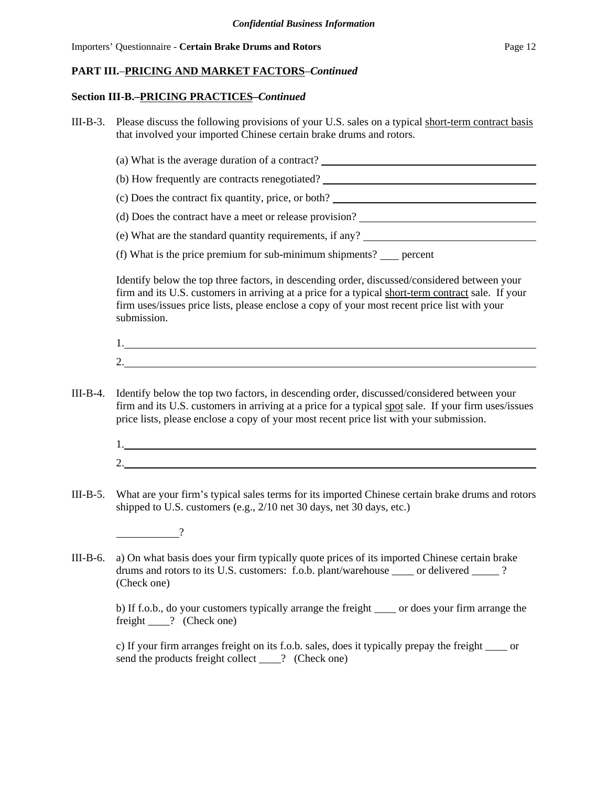#### **Section III-B.–PRICING PRACTICES–***Continued*

- III-B-3. Please discuss the following provisions of your U.S. sales on a typical short-term contract basis that involved your imported Chinese certain brake drums and rotors.
	- (a) What is the average duration of a contract?
	- (b) How frequently are contracts renegotiated?
	- (c) Does the contract fix quantity, price, or both?
	- (d) Does the contract have a meet or release provision?
	- (e) What are the standard quantity requirements, if any?
	- (f) What is the price premium for sub-minimum shipments?  $\qquad$  percent

Identify below the top three factors, in descending order, discussed/considered between your firm and its U.S. customers in arriving at a price for a typical short-term contract sale. If your firm uses/issues price lists, please enclose a copy of your most recent price list with your submission.

| . . |  |  |  |
|-----|--|--|--|
|     |  |  |  |

- III-B-4. Identify below the top two factors, in descending order, discussed/considered between your firm and its U.S. customers in arriving at a price for a typical spot sale. If your firm uses/issues price lists, please enclose a copy of your most recent price list with your submission.
	- 1. 2.
- III-B-5. What are your firm's typical sales terms for its imported Chinese certain brake drums and rotors shipped to U.S. customers (e.g., 2/10 net 30 days, net 30 days, etc.)

?

III-B-6. a) On what basis does your firm typically quote prices of its imported Chinese certain brake drums and rotors to its U.S. customers: f.o.b. plant/warehouse \_\_\_\_ or delivered \_\_\_\_\_ ? (Check one)

b) If f.o.b., do your customers typically arrange the freight \_\_\_\_ or does your firm arrange the freight \_\_\_\_? (Check one)

c) If your firm arranges freight on its f.o.b. sales, does it typically prepay the freight \_\_\_\_ or send the products freight collect \_\_\_\_? (Check one)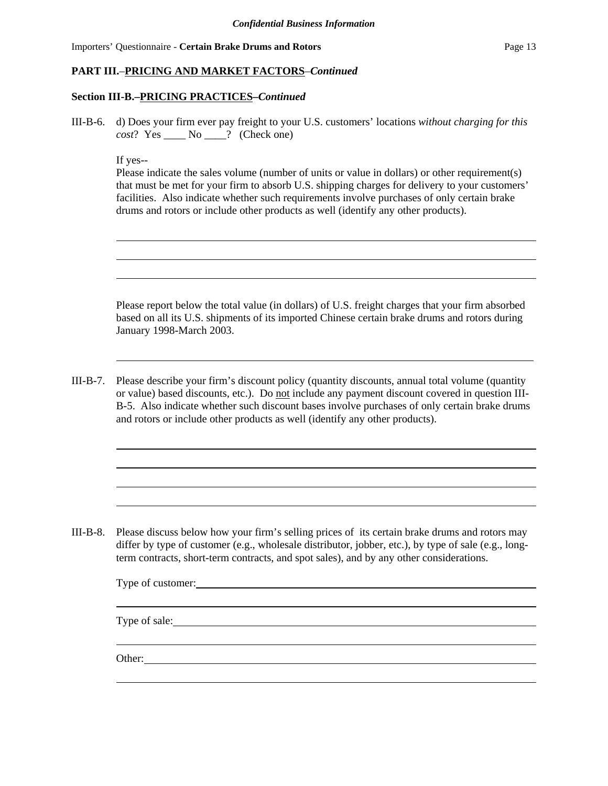## **PART III.**–**PRICING AND MARKET FACTORS**–*Continued*

#### **Section III-B.–PRICING PRACTICES–***Continued*

III-B-6. d) Does your firm ever pay freight to your U.S. customers' locations *without charging for this cost*? Yes \_\_\_\_ No \_\_\_\_? (Check one)

If yes--

| Please indicate the sales volume (number of units or value in dollars) or other requirement(s) |
|------------------------------------------------------------------------------------------------|
| that must be met for your firm to absorb U.S. shipping charges for delivery to your customers' |
| facilities. Also indicate whether such requirements involve purchases of only certain brake    |
| drums and rotors or include other products as well (identify any other products).              |

Please report below the total value (in dollars) of U.S. freight charges that your firm absorbed based on all its U.S. shipments of its imported Chinese certain brake drums and rotors during January 1998-March 2003.

III-B-7. Please describe your firm's discount policy (quantity discounts, annual total volume (quantity or value) based discounts, etc.). Do not include any payment discount covered in question III-B-5. Also indicate whether such discount bases involve purchases of only certain brake drums and rotors or include other products as well (identify any other products).

III-B-8. Please discuss below how your firm's selling prices of its certain brake drums and rotors may differ by type of customer (e.g., wholesale distributor, jobber, etc.), by type of sale (e.g., longterm contracts, short-term contracts, and spot sales), and by any other considerations.

| Other: |  |  |  |
|--------|--|--|--|
|        |  |  |  |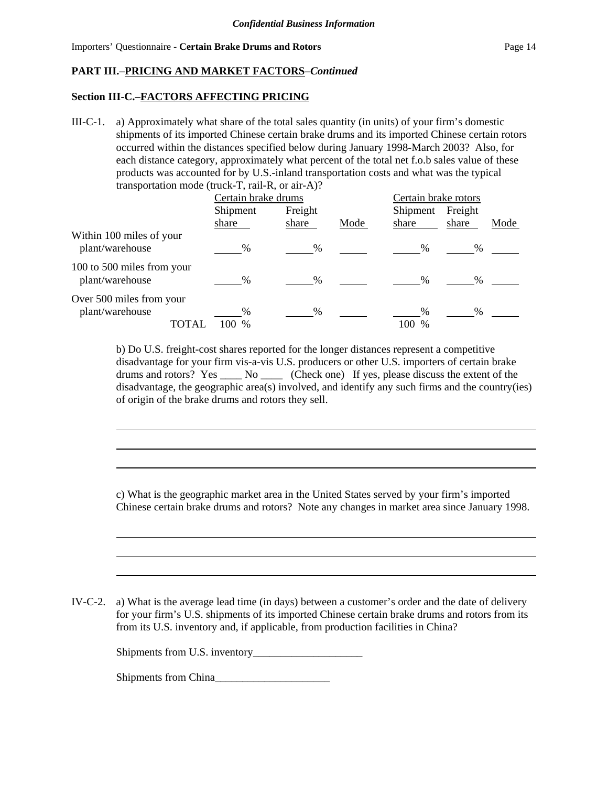## **Section III-C.–FACTORS AFFECTING PRICING**

III-C-1. a) Approximately what share of the total sales quantity (in units) of your firm's domestic shipments of its imported Chinese certain brake drums and its imported Chinese certain rotors occurred within the distances specified below during January 1998-March 2003? Also, for each distance category, approximately what percent of the total net f.o.b sales value of these products was accounted for by U.S.-inland transportation costs and what was the typical transportation mode (truck-T, rail-R, or air-A)?

|                                               | Certain brake drums                   |                  |      | Certain brake rotors         |                  |      |
|-----------------------------------------------|---------------------------------------|------------------|------|------------------------------|------------------|------|
|                                               | Shipment<br>share                     | Freight<br>share | Mode | Shipment<br>share            | Freight<br>share | Mode |
| Within 100 miles of your<br>plant/warehouse   | %                                     | %                |      | $\%$                         | %                |      |
| 100 to 500 miles from your<br>plant/warehouse | $\%$                                  | $\%$             |      | $\%$                         | $\%$             |      |
| Over 500 miles from your<br>plant/warehouse   | $\frac{0}{0}$<br>100<br>TOTAI<br>$\%$ | $\%$             |      | $\frac{0}{0}$<br>100<br>$\%$ | $\%$             |      |

b) Do U.S. freight-cost shares reported for the longer distances represent a competitive disadvantage for your firm vis-a-vis U.S. producers or other U.S. importers of certain brake drums and rotors? Yes \_\_\_\_ No \_\_\_\_ (Check one) If yes, please discuss the extent of the disadvantage, the geographic area(s) involved, and identify any such firms and the country(ies) of origin of the brake drums and rotors they sell.

c) What is the geographic market area in the United States served by your firm's imported Chinese certain brake drums and rotors? Note any changes in market area since January 1998.

IV-C-2. a) What is the average lead time (in days) between a customer's order and the date of delivery for your firm's U.S. shipments of its imported Chinese certain brake drums and rotors from its from its U.S. inventory and, if applicable, from production facilities in China?

Shipments from U.S. inventory\_\_\_\_\_\_\_\_\_\_\_\_\_\_\_\_\_\_\_\_

Shipments from China\_\_\_\_\_\_\_\_\_\_\_\_\_\_\_\_\_\_\_\_\_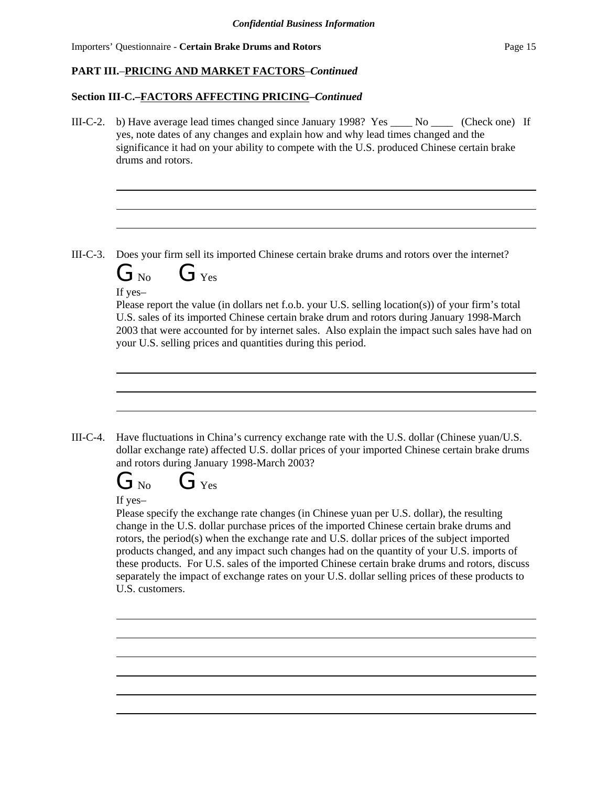## **PART III.**–**PRICING AND MARKET FACTORS**–*Continued*

#### **Section III-C.–FACTORS AFFECTING PRICING–***Continued*

III-C-2. b) Have average lead times changed since January 1998? Yes  $\sim$  No  $\sim$  (Check one) If yes, note dates of any changes and explain how and why lead times changed and the significance it had on your ability to compete with the U.S. produced Chinese certain brake drums and rotors.

III-C-3. Does your firm sell its imported Chinese certain brake drums and rotors over the internet?



If yes–

Please report the value (in dollars net f.o.b. your U.S. selling location(s)) of your firm's total U.S. sales of its imported Chinese certain brake drum and rotors during January 1998-March 2003 that were accounted for by internet sales. Also explain the impact such sales have had on your U.S. selling prices and quantities during this period.

III-C-4. Have fluctuations in China's currency exchange rate with the U.S. dollar (Chinese yuan/U.S. dollar exchange rate) affected U.S. dollar prices of your imported Chinese certain brake drums and rotors during January 1998-March 2003?



If yes–

Please specify the exchange rate changes (in Chinese yuan per U.S. dollar), the resulting change in the U.S. dollar purchase prices of the imported Chinese certain brake drums and rotors, the period(s) when the exchange rate and U.S. dollar prices of the subject imported products changed, and any impact such changes had on the quantity of your U.S. imports of these products. For U.S. sales of the imported Chinese certain brake drums and rotors, discuss separately the impact of exchange rates on your U.S. dollar selling prices of these products to U.S. customers.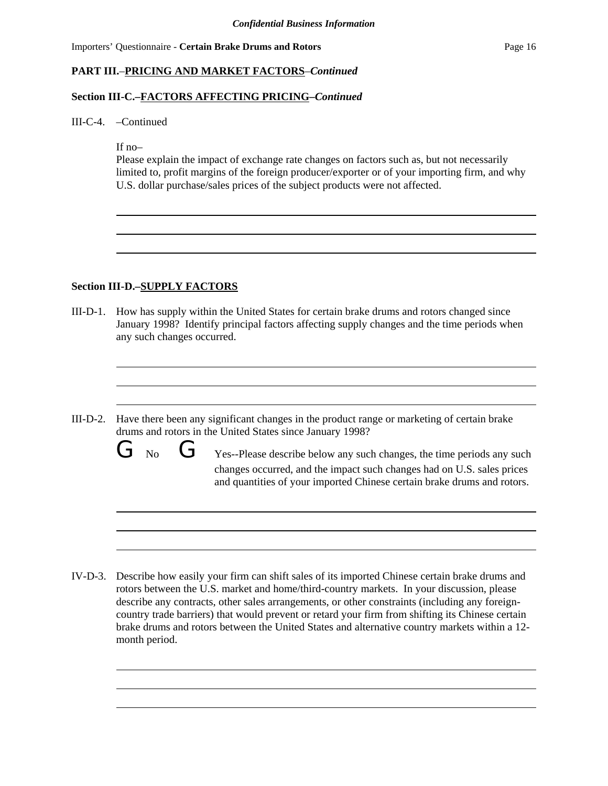# **PART III.**–**PRICING AND MARKET FACTORS**–*Continued*

### **Section III-C.–FACTORS AFFECTING PRICING–***Continued*

III-C-4. –Continued

If no–

Please explain the impact of exchange rate changes on factors such as, but not necessarily limited to, profit margins of the foreign producer/exporter or of your importing firm, and why U.S. dollar purchase/sales prices of the subject products were not affected.

### **Section III-D.–SUPPLY FACTORS**

- III-D-1. How has supply within the United States for certain brake drums and rotors changed since January 1998? Identify principal factors affecting supply changes and the time periods when any such changes occurred.
- III-D-2. Have there been any significant changes in the product range or marketing of certain brake drums and rotors in the United States since January 1998?
	- $G_{\text{No}}$  G  $G_{\text{Yes-Please} }$  Yes--Please describe below any such changes, the time periods any such changes occurred, and the impact such changes had on U.S. sales prices and quantities of your imported Chinese certain brake drums and rotors.

IV-D-3. Describe how easily your firm can shift sales of its imported Chinese certain brake drums and rotors between the U.S. market and home/third-country markets. In your discussion, please describe any contracts, other sales arrangements, or other constraints (including any foreigncountry trade barriers) that would prevent or retard your firm from shifting its Chinese certain brake drums and rotors between the United States and alternative country markets within a 12 month period.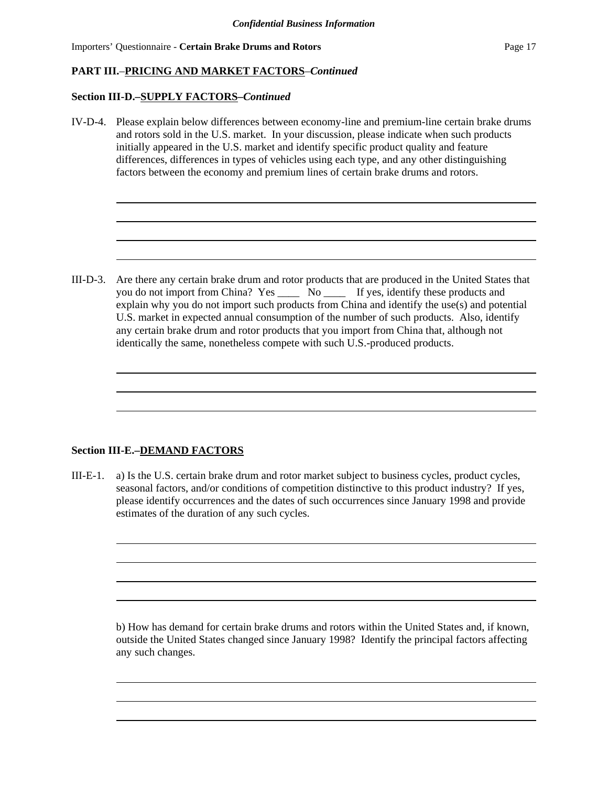## **PART III.**–**PRICING AND MARKET FACTORS**–*Continued*

#### **Section III-D.–SUPPLY FACTORS–***Continued*

IV-D-4. Please explain below differences between economy-line and premium-line certain brake drums and rotors sold in the U.S. market. In your discussion, please indicate when such products initially appeared in the U.S. market and identify specific product quality and feature differences, differences in types of vehicles using each type, and any other distinguishing factors between the economy and premium lines of certain brake drums and rotors.

III-D-3. Are there any certain brake drum and rotor products that are produced in the United States that you do not import from China? Yes \_\_\_\_ No \_\_\_\_ If yes, identify these products and explain why you do not import such products from China and identify the use(s) and potential U.S. market in expected annual consumption of the number of such products. Also, identify any certain brake drum and rotor products that you import from China that, although not identically the same, nonetheless compete with such U.S.-produced products.

## **Section III-E.–DEMAND FACTORS**

III-E-1. a) Is the U.S. certain brake drum and rotor market subject to business cycles, product cycles, seasonal factors, and/or conditions of competition distinctive to this product industry? If yes, please identify occurrences and the dates of such occurrences since January 1998 and provide estimates of the duration of any such cycles.

b) How has demand for certain brake drums and rotors within the United States and, if known, outside the United States changed since January 1998? Identify the principal factors affecting any such changes.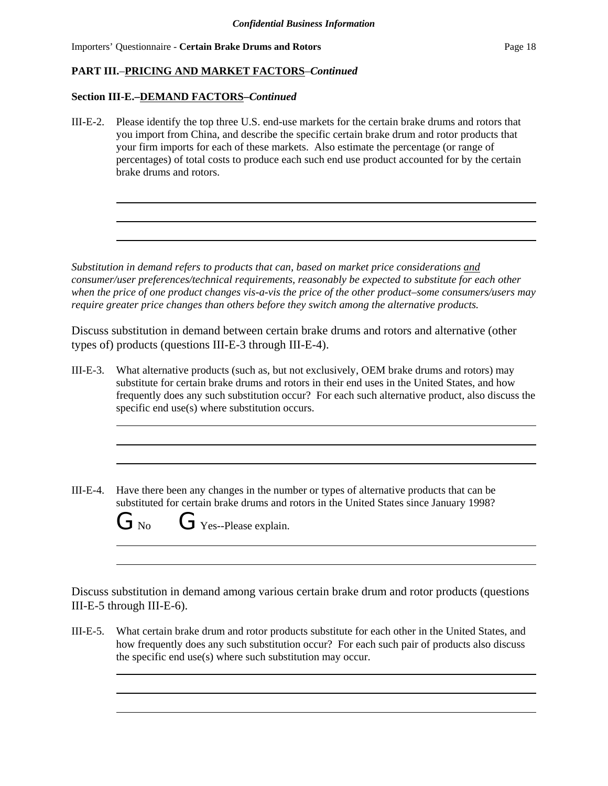# **PART III.**–**PRICING AND MARKET FACTORS**–*Continued*

## **Section III-E.–DEMAND FACTORS–***Continued*

III-E-2. Please identify the top three U.S. end-use markets for the certain brake drums and rotors that you import from China, and describe the specific certain brake drum and rotor products that your firm imports for each of these markets. Also estimate the percentage (or range of percentages) of total costs to produce each such end use product accounted for by the certain brake drums and rotors.

*Substitution in demand refers to products that can, based on market price considerations and consumer/user preferences/technical requirements, reasonably be expected to substitute for each other when the price of one product changes vis-a-vis the price of the other product–some consumers/users may require greater price changes than others before they switch among the alternative products.*

Discuss substitution in demand between certain brake drums and rotors and alternative (other types of) products (questions III-E-3 through III-E-4).

- III-E-3. What alternative products (such as, but not exclusively, OEM brake drums and rotors) may substitute for certain brake drums and rotors in their end uses in the United States, and how frequently does any such substitution occur? For each such alternative product, also discuss the specific end use(s) where substitution occurs.
- III-E-4. Have there been any changes in the number or types of alternative products that can be substituted for certain brake drums and rotors in the United States since January 1998?

| $\mathbf{U}$ No | Yes--Please explain. |
|-----------------|----------------------|

Discuss substitution in demand among various certain brake drum and rotor products (questions III-E-5 through III-E-6).

III-E-5. What certain brake drum and rotor products substitute for each other in the United States, and how frequently does any such substitution occur? For each such pair of products also discuss the specific end use(s) where such substitution may occur.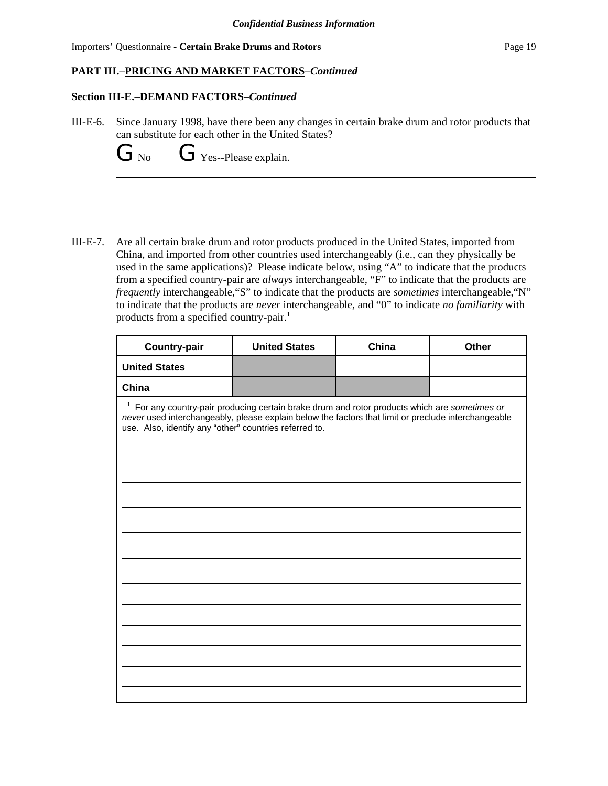## **PART III.**–**PRICING AND MARKET FACTORS**–*Continued*

### **Section III-E.–DEMAND FACTORS–***Continued*

III-E-6. Since January 1998, have there been any changes in certain brake drum and rotor products that can substitute for each other in the United States?

 $G_{\text{No}}$   $G_{\text{Yes-Please explain}}$ .

III-E-7. Are all certain brake drum and rotor products produced in the United States, imported from China, and imported from other countries used interchangeably (i.e., can they physically be used in the same applications)? Please indicate below, using "A" to indicate that the products from a specified country-pair are *always* interchangeable, "F" to indicate that the products are *frequently* interchangeable,"S" to indicate that the products are *sometimes* interchangeable,"N" to indicate that the products are *never* interchangeable, and "0" to indicate *no familiarity* with products from a specified country-pair.<sup>1</sup>

| <b>Country-pair</b>                                                                                                                                                                                                                                                       | <b>United States</b> | China | Other |  |  |
|---------------------------------------------------------------------------------------------------------------------------------------------------------------------------------------------------------------------------------------------------------------------------|----------------------|-------|-------|--|--|
| <b>United States</b>                                                                                                                                                                                                                                                      |                      |       |       |  |  |
| China                                                                                                                                                                                                                                                                     |                      |       |       |  |  |
| <sup>1</sup> For any country-pair producing certain brake drum and rotor products which are sometimes or<br>never used interchangeably, please explain below the factors that limit or preclude interchangeable<br>use. Also, identify any "other" countries referred to. |                      |       |       |  |  |
|                                                                                                                                                                                                                                                                           |                      |       |       |  |  |
|                                                                                                                                                                                                                                                                           |                      |       |       |  |  |
|                                                                                                                                                                                                                                                                           |                      |       |       |  |  |
|                                                                                                                                                                                                                                                                           |                      |       |       |  |  |
|                                                                                                                                                                                                                                                                           |                      |       |       |  |  |
|                                                                                                                                                                                                                                                                           |                      |       |       |  |  |
|                                                                                                                                                                                                                                                                           |                      |       |       |  |  |
|                                                                                                                                                                                                                                                                           |                      |       |       |  |  |
|                                                                                                                                                                                                                                                                           |                      |       |       |  |  |
|                                                                                                                                                                                                                                                                           |                      |       |       |  |  |
|                                                                                                                                                                                                                                                                           |                      |       |       |  |  |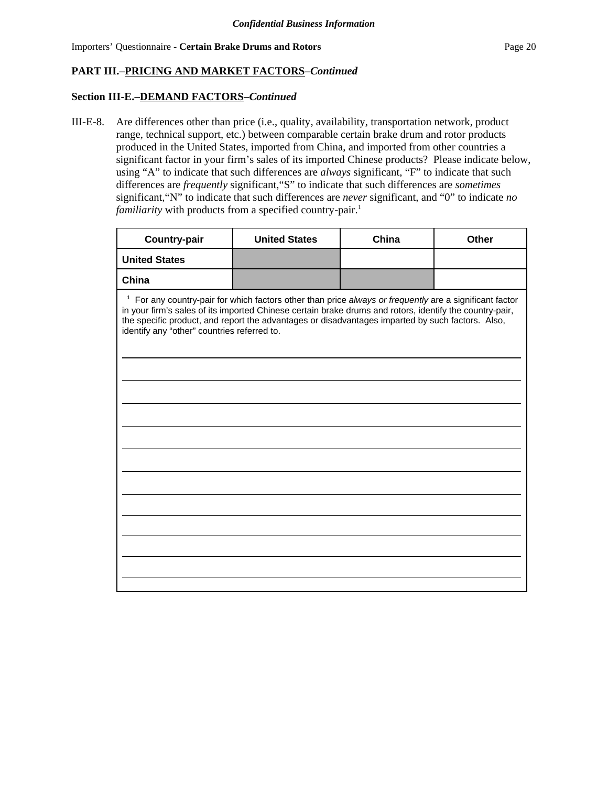### **Section III-E.–DEMAND FACTORS–***Continued*

III-E-8. Are differences other than price (i.e., quality, availability, transportation network, product range, technical support, etc.) between comparable certain brake drum and rotor products produced in the United States, imported from China, and imported from other countries a significant factor in your firm's sales of its imported Chinese products? Please indicate below, using "A" to indicate that such differences are *always* significant, "F" to indicate that such differences are *frequently* significant,"S" to indicate that such differences are *sometimes* significant,"N" to indicate that such differences are *never* significant, and "0" to indicate *no familiarity* with products from a specified country-pair.<sup>1</sup>

| <b>Country-pair</b>                                                                                                                                                                                                                                                                                                                                                              | <b>United States</b> | China | <b>Other</b> |  |  |
|----------------------------------------------------------------------------------------------------------------------------------------------------------------------------------------------------------------------------------------------------------------------------------------------------------------------------------------------------------------------------------|----------------------|-------|--------------|--|--|
| <b>United States</b>                                                                                                                                                                                                                                                                                                                                                             |                      |       |              |  |  |
| China                                                                                                                                                                                                                                                                                                                                                                            |                      |       |              |  |  |
| <sup>1</sup> For any country-pair for which factors other than price always or frequently are a significant factor<br>in your firm's sales of its imported Chinese certain brake drums and rotors, identify the country-pair,<br>the specific product, and report the advantages or disadvantages imparted by such factors. Also,<br>identify any "other" countries referred to. |                      |       |              |  |  |
|                                                                                                                                                                                                                                                                                                                                                                                  |                      |       |              |  |  |
|                                                                                                                                                                                                                                                                                                                                                                                  |                      |       |              |  |  |
|                                                                                                                                                                                                                                                                                                                                                                                  |                      |       |              |  |  |
|                                                                                                                                                                                                                                                                                                                                                                                  |                      |       |              |  |  |
|                                                                                                                                                                                                                                                                                                                                                                                  |                      |       |              |  |  |
|                                                                                                                                                                                                                                                                                                                                                                                  |                      |       |              |  |  |
|                                                                                                                                                                                                                                                                                                                                                                                  |                      |       |              |  |  |
|                                                                                                                                                                                                                                                                                                                                                                                  |                      |       |              |  |  |
|                                                                                                                                                                                                                                                                                                                                                                                  |                      |       |              |  |  |
|                                                                                                                                                                                                                                                                                                                                                                                  |                      |       |              |  |  |
|                                                                                                                                                                                                                                                                                                                                                                                  |                      |       |              |  |  |